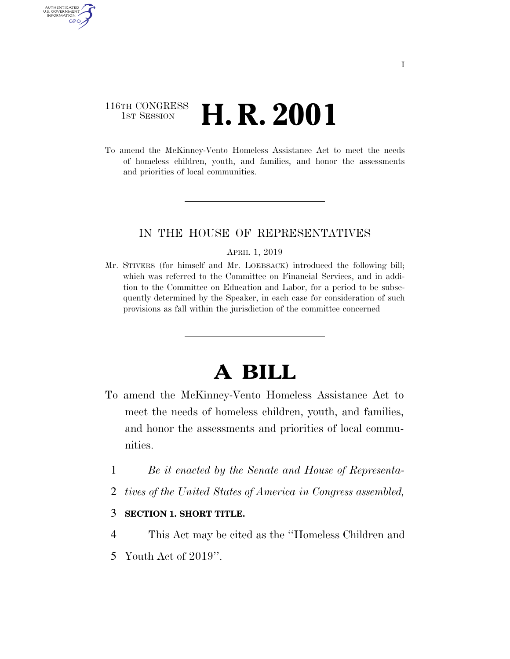## 116TH CONGRESS **1st Session H. R. 2001**

AUTHENTICATE U.S. GOVERNMENT GPO

> To amend the McKinney-Vento Homeless Assistance Act to meet the needs of homeless children, youth, and families, and honor the assessments and priorities of local communities.

## IN THE HOUSE OF REPRESENTATIVES

## APRIL 1, 2019

Mr. STIVERS (for himself and Mr. LOEBSACK) introduced the following bill; which was referred to the Committee on Financial Services, and in addition to the Committee on Education and Labor, for a period to be subsequently determined by the Speaker, in each case for consideration of such provisions as fall within the jurisdiction of the committee concerned

## **A BILL**

- To amend the McKinney-Vento Homeless Assistance Act to meet the needs of homeless children, youth, and families, and honor the assessments and priorities of local communities.
	- 1 *Be it enacted by the Senate and House of Representa-*
	- 2 *tives of the United States of America in Congress assembled,*
	- 3 **SECTION 1. SHORT TITLE.**
- 4 This Act may be cited as the ''Homeless Children and 5 Youth Act of 2019''.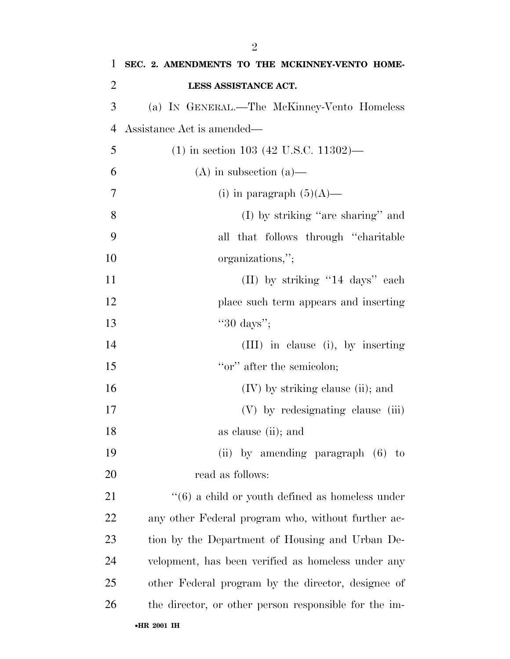| 1              | SEC. 2. AMENDMENTS TO THE MCKINNEY-VENTO HOME-              |
|----------------|-------------------------------------------------------------|
| $\overline{2}$ | LESS ASSISTANCE ACT.                                        |
| 3              | (a) IN GENERAL.—The McKinney-Vento Homeless                 |
| $\overline{4}$ | Assistance Act is amended—                                  |
| 5              | $(1)$ in section 103 (42 U.S.C. 11302)—                     |
| 6              | $(A)$ in subsection $(a)$ —                                 |
| 7              | (i) in paragraph $(5)(A)$ —                                 |
| 8              | $(I)$ by striking "are sharing" and                         |
| 9              | all that follows through "charitable"                       |
| 10             | organizations,";                                            |
| 11             | (II) by striking "14 days" each                             |
| 12             | place such term appears and inserting                       |
| 13             | " $30 \text{ days}$ ";                                      |
| 14             | (III) in clause (i), by inserting                           |
| 15             | "or" after the semicolon;                                   |
| 16             | $(IV)$ by striking clause (ii); and                         |
| 17             | (V) by redesignating clause (iii)                           |
| 18             | as clause (ii); and                                         |
| 19             | (ii) by amending paragraph $(6)$ to                         |
| 20             | read as follows:                                            |
| 21             | $\cdot\cdot$ (6) a child or youth defined as homeless under |
| 22             | any other Federal program who, without further ac-          |
| 23             | tion by the Department of Housing and Urban De-             |
| 24             | velopment, has been verified as homeless under any          |
| 25             | other Federal program by the director, designee of          |
| 26             | the director, or other person responsible for the im-       |
|                | •HR 2001 IH                                                 |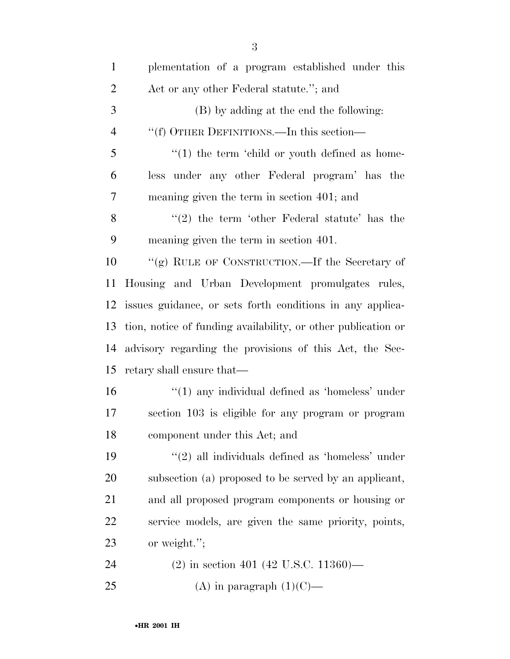| $\mathbf{1}$   | plementation of a program established under this              |
|----------------|---------------------------------------------------------------|
| 2              | Act or any other Federal statute."; and                       |
| 3              | (B) by adding at the end the following:                       |
| $\overline{4}$ | "(f) OTHER DEFINITIONS.—In this section—                      |
| 5              | $\lq(1)$ the term 'child or youth defined as home-            |
| 6              | less under any other Federal program' has the                 |
| 7              | meaning given the term in section 401; and                    |
| 8              | $\lq(2)$ the term 'other Federal statute' has the             |
| 9              | meaning given the term in section 401.                        |
| 10             | "(g) RULE OF CONSTRUCTION.—If the Secretary of                |
| 11             | Housing and Urban Development promulgates rules,              |
| 12             | issues guidance, or sets forth conditions in any applica-     |
| 13             | tion, notice of funding availability, or other publication or |
| 14             | advisory regarding the provisions of this Act, the Sec-       |
| 15             | retary shall ensure that—                                     |
| 16             | $\lq(1)$ any individual defined as 'homeless' under           |
| 17             | section 103 is eligible for any program or program            |
| 18             | component under this Act; and                                 |
| 19             | $\lq(2)$ all individuals defined as 'homeless' under          |
| 20             | subsection (a) proposed to be served by an applicant,         |
| 21             | and all proposed program components or housing or             |
| 22             | service models, are given the same priority, points,          |
| 23             | or weight.";                                                  |
| 24             | $(2)$ in section 401 (42 U.S.C. 11360)—                       |
| 25             | (A) in paragraph $(1)(C)$ —                                   |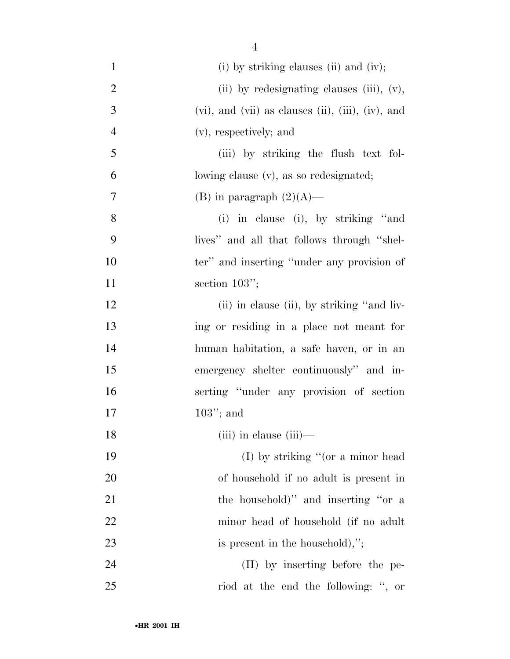- 1 (i) by striking clauses (ii) and (iv); 2 (ii) by redesignating clauses (iii), (v), 3 (vi), and (vii) as clauses (ii), (iii), (iv), and 4 (v), respectively; and 5 (iii) by striking the flush text fol-6 lowing clause (v), as so redesignated; 7 (B) in paragraph  $(2)(A)$ — 8 (i) in clause (i), by striking ''and 9 lives'' and all that follows through ''shel-10 ter'' and inserting "under any provision of 11 section 103"; 12 (ii) in clause (ii), by striking "and liv-13 ing or residing in a place not meant for 14 human habitation, a safe haven, or in an 15 emergency shelter continuously'' and in-16 serting ''under any provision of section 17 103''; and 18 (iii) in clause (iii)— 19 (I) by striking "(or a minor head 20 of household if no adult is present in 21 the household)" and inserting "or a 22 minor head of household (if no adult 23 is present in the household),"; 24 (II) by inserting before the pe-25 riod at the end the following: '', or
	- •**HR 2001 IH**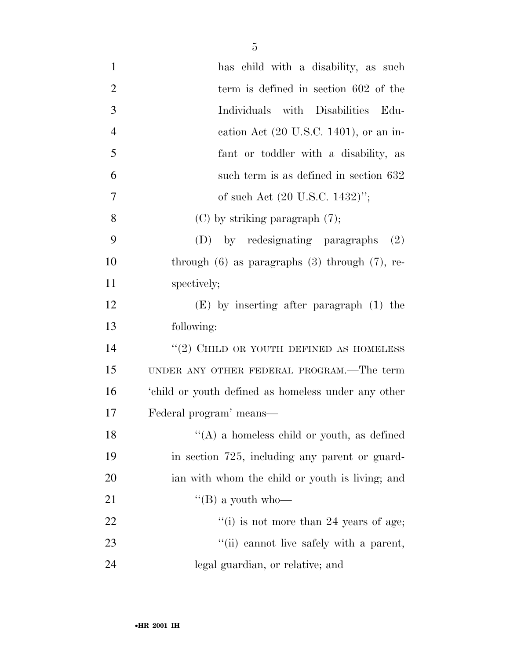| $\mathbf{1}$   | has child with a disability, as such                  |
|----------------|-------------------------------------------------------|
| $\overline{2}$ | term is defined in section 602 of the                 |
| 3              | Individuals with Disabilities<br>Edu-                 |
| $\overline{4}$ | cation Act $(20 \text{ U.S.C. } 1401)$ , or an in-    |
| 5              | fant or toddler with a disability, as                 |
| 6              | such term is as defined in section 632                |
| 7              | of such Act (20 U.S.C. 1432)";                        |
| 8              | $(C)$ by striking paragraph $(7)$ ;                   |
| 9              | by redesignating paragraphs<br>(D)<br>(2)             |
| 10             | through $(6)$ as paragraphs $(3)$ through $(7)$ , re- |
| 11             | spectively;                                           |
| 12             | $(E)$ by inserting after paragraph $(1)$ the          |
| 13             | following:                                            |
| 14             | $\lq(2)$ CHILD OR YOUTH DEFINED AS HOMELESS           |
| 15             | UNDER ANY OTHER FEDERAL PROGRAM.—The term             |
| 16             | 'child or youth defined as homeless under any other   |
| 17             | Federal program' means—                               |
| 18             | $\lq\lq$ (A) a homeless child or youth, as defined    |
| 19             | in section 725, including any parent or guard-        |
| 20             | ian with whom the child or youth is living; and       |
| 21             | "(B) a youth who-                                     |
| 22             | $f'(i)$ is not more than 24 years of age;             |
| 23             | "(ii) cannot live safely with a parent,               |
| 24             | legal guardian, or relative; and                      |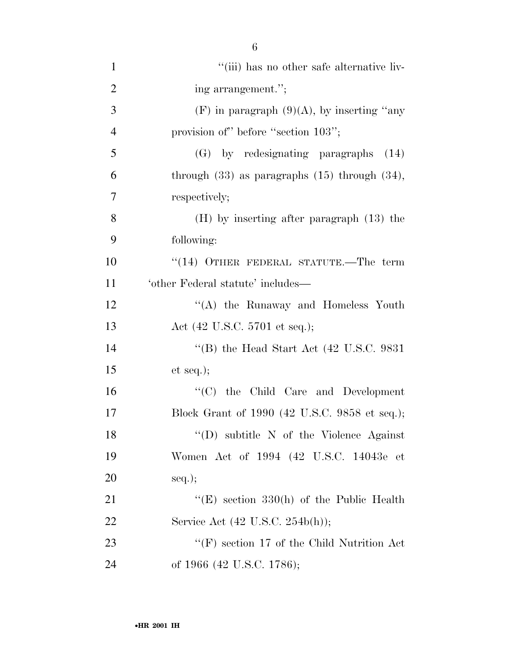| $\mathbf{1}$   | "(iii) has no other safe alternative liv-            |
|----------------|------------------------------------------------------|
| $\overline{2}$ | ing arrangement.";                                   |
| 3              | $(F)$ in paragraph $(9)(A)$ , by inserting "any      |
| $\overline{4}$ | provision of" before "section 103";                  |
| 5              | (G) by redesignating paragraphs (14)                 |
| 6              | through $(33)$ as paragraphs $(15)$ through $(34)$ , |
| 7              | respectively;                                        |
| 8              | $(H)$ by inserting after paragraph $(13)$ the        |
| 9              | following:                                           |
| 10             | $``(14)$ OTHER FEDERAL STATUTE.—The term             |
| 11             | 'other Federal statute' includes—                    |
| 12             | "(A) the Runaway and Homeless Youth                  |
| 13             | Act (42 U.S.C. 5701 et seq.);                        |
| 14             | "(B) the Head Start Act $(42 \text{ U.S.C. } 9831)$  |
| 15             | et seq.);                                            |
| 16             | "(C) the Child Care and Development                  |
| 17             | Block Grant of 1990 (42 U.S.C. 9858 et seq.);        |
| 18             | "(D) subtitle $N$ of the Violence Against            |
| 19             | Women Act of 1994 (42 U.S.C. 14043e et               |
| 20             | $seq.$ ;                                             |
| 21             | "(E) section $330(h)$ of the Public Health           |
| 22             | Service Act (42 U.S.C. 254b(h));                     |
| 23             | $\lq\lq(F)$ section 17 of the Child Nutrition Act    |
| 24             | of 1966 (42 U.S.C. 1786);                            |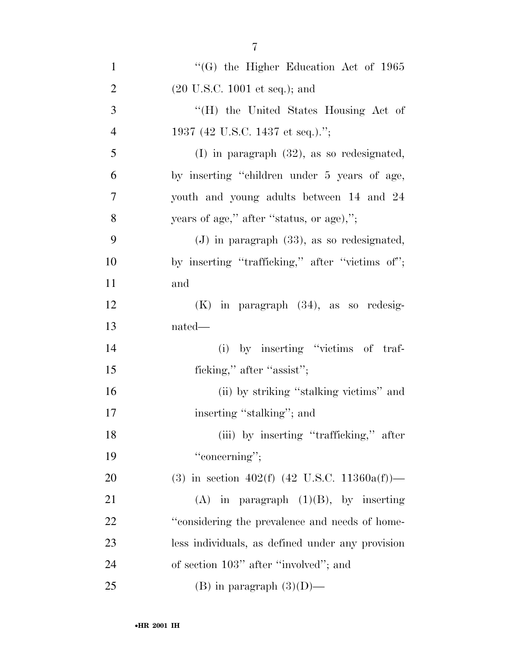| $\mathbf{1}$   | $\cdot$ (G) the Higher Education Act of 1965     |
|----------------|--------------------------------------------------|
| $\overline{2}$ | $(20 \text{ U.S.C. } 1001 \text{ et seq.});$ and |
| 3              | "(H) the United States Housing Act of            |
| $\overline{4}$ | 1937 (42 U.S.C. 1437 et seq.).";                 |
| 5              | $(I)$ in paragraph $(32)$ , as so redesignated,  |
| 6              | by inserting "children under 5 years of age,     |
| $\tau$         | youth and young adults between 14 and 24         |
| 8              | years of age," after "status, or age),";         |
| 9              | $(J)$ in paragraph $(33)$ , as so redesignated,  |
| 10             | by inserting "trafficking," after "victims of";  |
| 11             | and                                              |
| 12             | $(K)$ in paragraph $(34)$ , as so redesig-       |
| 13             | nated—                                           |
| 14             | (i) by inserting "victims of traf-               |
| 15             | ficking," after "assist";                        |
| 16             | (ii) by striking "stalking victims" and          |
| 17             | inserting "stalking"; and                        |
| 18             | (iii) by inserting "trafficking," after          |
| 19             | "concerning";                                    |
| 20             | (3) in section 402(f) (42 U.S.C. 11360a(f))—     |
| 21             | $(A)$ in paragraph $(1)(B)$ , by inserting       |
| 22             | "considering the prevalence and needs of home-   |
| 23             | less individuals, as defined under any provision |
| 24             | of section 103" after "involved"; and            |
| 25             | (B) in paragraph $(3)(D)$ —                      |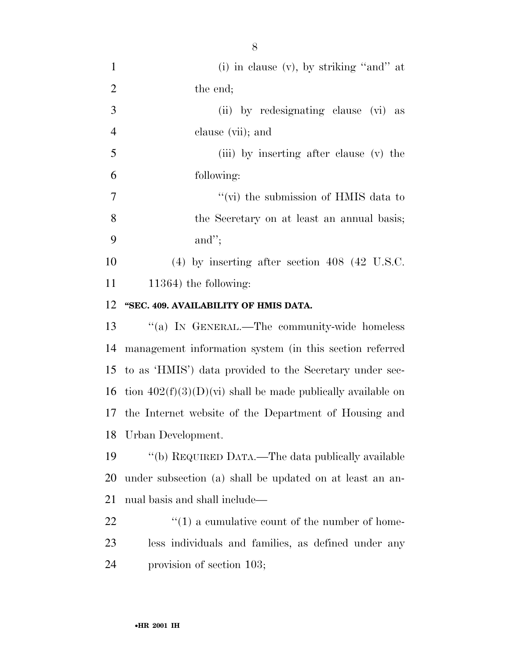| $\mathbf{1}$   | (i) in clause $(v)$ , by striking "and" at                    |
|----------------|---------------------------------------------------------------|
| $\overline{2}$ | the end;                                                      |
| 3              | (ii) by redesignating clause (vi) as                          |
| $\overline{4}$ | clause (vii); and                                             |
| 5              | (iii) by inserting after clause (v) the                       |
| 6              | following:                                                    |
| 7              | "(vi) the submission of HMIS data to                          |
| 8              | the Secretary on at least an annual basis;                    |
| 9              | and";                                                         |
| 10             | $(4)$ by inserting after section 408 (42 U.S.C.               |
| 11             | $11364$ ) the following:                                      |
| 12             | "SEC. 409. AVAILABILITY OF HMIS DATA.                         |
| 13             | "(a) IN GENERAL.—The community-wide homeless                  |
|                |                                                               |
| 14             | management information system (in this section referred       |
| 15             | to as 'HMIS') data provided to the Secretary under sec-       |
| 16             | tion $402(f)(3)(D)(vi)$ shall be made publically available on |
| 17             | the Internet website of the Department of Housing and         |
| 18             | Urban Development.                                            |
| 19             | "(b) REQUIRED DATA.—The data publically available             |
| 20             | under subsection (a) shall be updated on at least an an-      |
| 21             | nual basis and shall include—                                 |
| 22             | $\lq(1)$ a cumulative count of the number of home-            |
| 23             | less individuals and families, as defined under any           |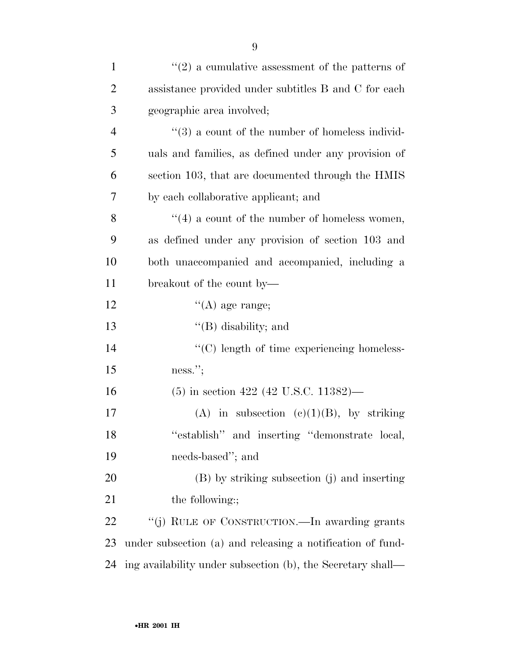| $\mathbf{1}$   | $\lq(2)$ a cumulative assessment of the patterns of             |
|----------------|-----------------------------------------------------------------|
| $\overline{2}$ | assistance provided under subtitles B and C for each            |
| 3              | geographic area involved;                                       |
| $\overline{4}$ | $\cdot\cdot\cdot(3)$ a count of the number of homeless individ- |
| 5              | uals and families, as defined under any provision of            |
| 6              | section 103, that are documented through the HMIS               |
| 7              | by each collaborative applicant; and                            |
| 8              | $\lq(4)$ a count of the number of homeless women,               |
| 9              | as defined under any provision of section 103 and               |
| 10             | both unaccompanied and accompanied, including a                 |
| 11             | breakout of the count by—                                       |
| 12             | $\lq\lq$ (A) age range;                                         |
| 13             | $\lq\lq$ (B) disability; and                                    |
| 14             | "(C) length of time experiencing homeless-                      |
| 15             | ness.";                                                         |
| 16             | $(5)$ in section 422 (42 U.S.C. 11382)—                         |
| 17             | (A) in subsection (c)(1)(B), by striking                        |
| 18             | "establish" and inserting "demonstrate local,                   |
| 19             | needs-based"; and                                               |
| 20             | (B) by striking subsection (j) and inserting                    |
| 21             | the following:;                                                 |
| 22             | "(j) RULE OF CONSTRUCTION.—In awarding grants                   |
| 23             | under subsection (a) and releasing a notification of fund-      |
| 24             | ing availability under subsection (b), the Secretary shall—     |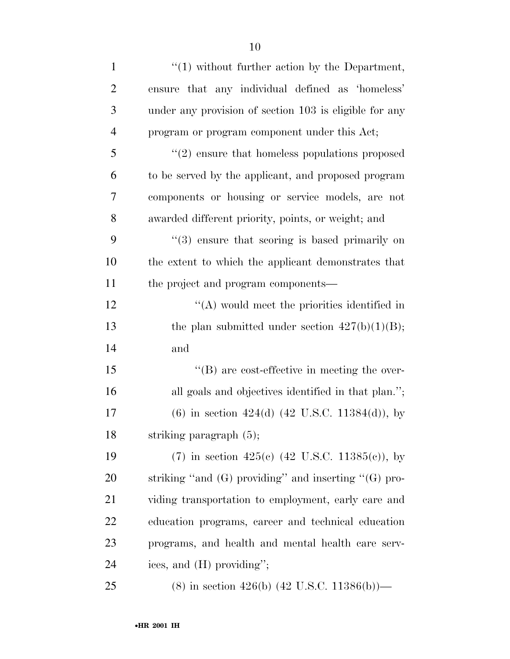| $\mathbf{1}$   | $\lq(1)$ without further action by the Department,             |
|----------------|----------------------------------------------------------------|
| $\overline{2}$ | ensure that any individual defined as 'homeless'               |
| 3              | under any provision of section 103 is eligible for any         |
| $\overline{4}$ | program or program component under this Act;                   |
| 5              | $\cdot\cdot\cdot(2)$ ensure that homeless populations proposed |
| 6              | to be served by the applicant, and proposed program            |
| 7              | components or housing or service models, are not               |
| 8              | awarded different priority, points, or weight; and             |
| 9              | $(3)$ ensure that scoring is based primarily on                |
| 10             | the extent to which the applicant demonstrates that            |
| 11             | the project and program components—                            |
| 12             | $\lq\lq$ would meet the priorities identified in               |
| 13             | the plan submitted under section $427(b)(1)(B)$ ;              |
| 14             | and                                                            |
| 15             | $\lq\lq (B)$ are cost-effective in meeting the over-           |
| 16             | all goals and objectives identified in that plan.";            |
| 17             | $(6)$ in section 424(d) (42 U.S.C. 11384(d)), by               |
| 18             | striking paragraph (5);                                        |
| 19             | (7) in section 425(c) (42 U.S.C. 11385(c)), by                 |
| 20             | striking "and $(G)$ providing" and inserting " $(G)$ pro-      |
| 21             | viding transportation to employment, early care and            |
| 22             | education programs, career and technical education             |
| 23             | programs, and health and mental health care serv-              |
| 24             | ices, and (H) providing";                                      |
| 25             | $(8)$ in section 426(b) (42 U.S.C. 11386(b))—                  |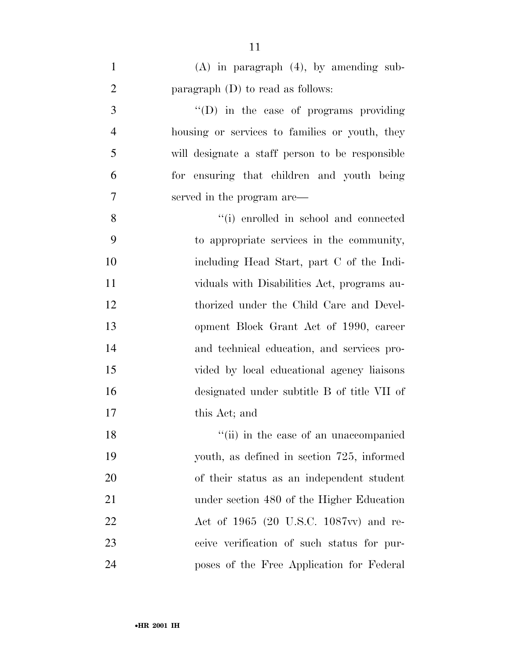| $\mathbf{1}$   | $(A)$ in paragraph $(4)$ , by amending sub-     |
|----------------|-------------------------------------------------|
| $\overline{2}$ | paragraph $(D)$ to read as follows:             |
| 3              | $\lq\lq$ (D) in the case of programs providing  |
| $\overline{4}$ | housing or services to families or youth, they  |
| 5              | will designate a staff person to be responsible |
| 6              | for ensuring that children and youth being      |
| 7              | served in the program are—                      |
| 8              | "(i) enrolled in school and connected           |
| 9              | to appropriate services in the community,       |
| 10             | including Head Start, part C of the Indi-       |
| 11             | viduals with Disabilities Act, programs au-     |
| 12             | thorized under the Child Care and Devel-        |
| 13             | opment Block Grant Act of 1990, career          |
| 14             | and technical education, and services pro-      |
| 15             | vided by local educational agency liaisons      |
| 16             | designated under subtitle B of title VII of     |
| 17             | this Act; and                                   |
| 18             | "(ii) in the case of an unaccompanied           |
| 19             | youth, as defined in section 725, informed      |
| 20             | of their status as an independent student       |
| 21             | under section 480 of the Higher Education       |
| 22             | Act of 1965 (20 U.S.C. 1087vv) and re-          |
| 23             | ceive verification of such status for pur-      |
| 24             | poses of the Free Application for Federal       |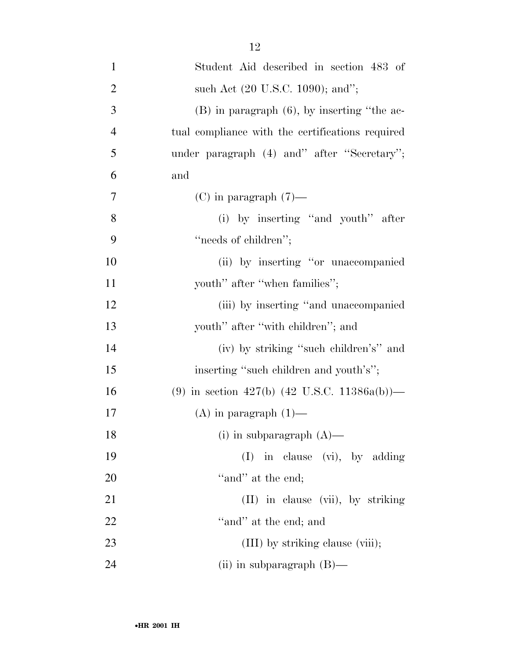| $\mathbf{1}$   | Student Aid described in section 483 of          |
|----------------|--------------------------------------------------|
| $\overline{2}$ | such Act (20 U.S.C. 1090); and";                 |
| 3              | $(B)$ in paragraph $(6)$ , by inserting "the ac- |
| $\overline{4}$ | tual compliance with the certifications required |
| 5              | under paragraph (4) and" after "Secretary";      |
| 6              | and                                              |
| $\overline{7}$ | $(C)$ in paragraph $(7)$ —                       |
| 8              | (i) by inserting "and youth" after               |
| 9              | "needs of children";                             |
| 10             | (ii) by inserting "or unaccompanied              |
| 11             | youth" after "when families";                    |
| 12             | (iii) by inserting "and unaccompanied"           |
| 13             | youth" after "with children"; and                |
| 14             | (iv) by striking "such children's" and           |
| 15             | inserting "such children and youth's";           |
| 16             | (9) in section 427(b) (42 U.S.C. 11386a(b))—     |
| 17             | $(A)$ in paragraph $(1)$ —                       |
| 18             | (i) in subparagraph $(A)$ —                      |
| 19             | (I) in clause (vi), by adding                    |
| 20             | "and" at the end;                                |
| 21             | (II) in clause (vii), by striking                |
| 22             | "and" at the end; and                            |
| 23             | (III) by striking clause (viii);                 |
| 24             | (ii) in subparagraph $(B)$ —                     |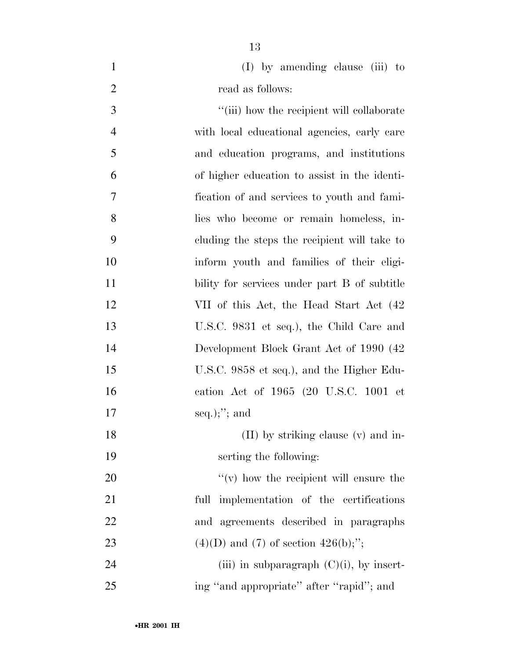(I) by amending clause (iii) to 2 read as follows:

 $\frac{1}{1}$  ''(iii) how the recipient will collaborate with local educational agencies, early care and education programs, and institutions of higher education to assist in the identi- fication of and services to youth and fami- lies who become or remain homeless, in- cluding the steps the recipient will take to inform youth and families of their eligi-11 bility for services under part B of subtitle 12 VII of this Act, the Head Start Act (42) U.S.C. 9831 et seq.), the Child Care and Development Block Grant Act of 1990 (42 U.S.C. 9858 et seq.), and the Higher Edu- cation Act of 1965 (20 U.S.C. 1001 et seq.);''; and 18 (II) by striking clause (v) and in- serting the following:  $"(*v*)$  how the recipient will ensure the full implementation of the certifications and agreements described in paragraphs 23 (4)(D) and (7) of section  $426(b)$ ;"; 24 (iii) in subparagraph  $(C)(i)$ , by insert-ing ''and appropriate'' after ''rapid''; and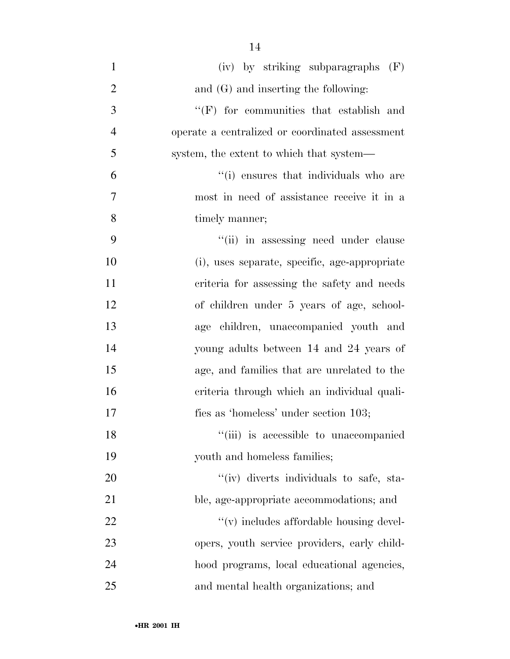(iv) by striking subparagraphs (F) 2 and (G) and inserting the following: ''(F) for communities that establish and operate a centralized or coordinated assessment system, the extent to which that system— ''(i) ensures that individuals who are most in need of assistance receive it in a timely manner; 9 ''(ii) in assessing need under clause (i), uses separate, specific, age-appropriate criteria for assessing the safety and needs of children under 5 years of age, school- age children, unaccompanied youth and young adults between 14 and 24 years of age, and families that are unrelated to the criteria through which an individual quali- fies as 'homeless' under section 103; 18 ''(iii) is accessible to unaccompanied youth and homeless families;  $\frac{1}{\sqrt{2}}$  (iv) diverts individuals to safe, sta- ble, age-appropriate accommodations; and  $\mathcal{L}(v)$  includes affordable housing devel- opers, youth service providers, early child- hood programs, local educational agencies, and mental health organizations; and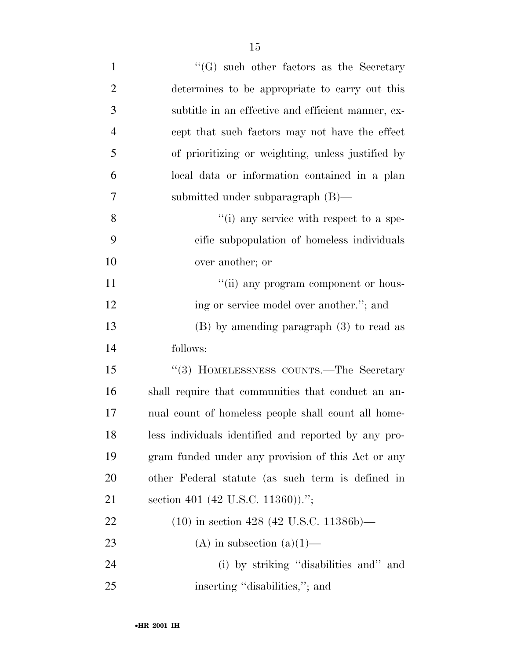| $\mathbf{1}$   | $\lq\lq(G)$ such other factors as the Secretary      |
|----------------|------------------------------------------------------|
| $\overline{2}$ | determines to be appropriate to carry out this       |
| 3              | subtitle in an effective and efficient manner, ex-   |
| $\overline{4}$ | cept that such factors may not have the effect       |
| 5              | of prioritizing or weighting, unless justified by    |
| 6              | local data or information contained in a plan        |
| 7              | submitted under subparagraph $(B)$ —                 |
| 8              | $\lq\lq$ (i) any service with respect to a spe-      |
| 9              | cific subpopulation of homeless individuals          |
| 10             | over another; or                                     |
| 11             | "(ii) any program component or hous-                 |
| 12             | ing or service model over another."; and             |
| 13             | $(B)$ by amending paragraph $(3)$ to read as         |
| 14             | follows:                                             |
| 15             | "(3) HOMELESSNESS COUNTS.—The Secretary              |
| 16             | shall require that communities that conduct an an-   |
| 17             | nual count of homeless people shall count all home-  |
| 18             | less individuals identified and reported by any pro- |
| 19             | gram funded under any provision of this Act or any   |
| 20             | other Federal statute (as such term is defined in    |
| 21             | section 401 (42 U.S.C. 11360)).";                    |
| 22             | $(10)$ in section 428 (42 U.S.C. 11386b)—            |
| 23             | (A) in subsection $(a)(1)$ —                         |
| 24             | (i) by striking "disabilities and" and               |
| 25             | inserting "disabilities,"; and                       |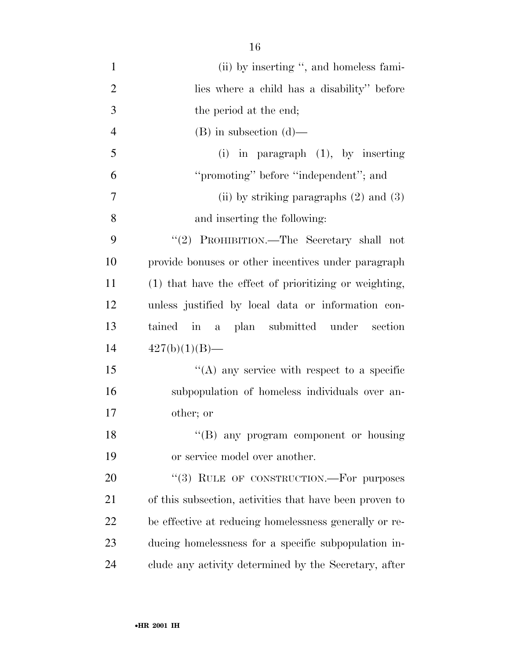| $\mathbf{1}$   | (ii) by inserting ", and homeless fami-                 |
|----------------|---------------------------------------------------------|
| $\overline{2}$ | lies where a child has a disability" before             |
| 3              | the period at the end;                                  |
| $\overline{4}$ | $(B)$ in subsection $(d)$ —                             |
| 5              | $(i)$ in paragraph $(1)$ , by inserting                 |
| 6              | "promoting" before "independent"; and                   |
| 7              | (ii) by striking paragraphs $(2)$ and $(3)$             |
| 8              | and inserting the following:                            |
| 9              | "(2) PROHIBITION.—The Secretary shall not               |
| 10             | provide bonuses or other incentives under paragraph     |
| 11             | (1) that have the effect of prioritizing or weighting,  |
| 12             | unless justified by local data or information con-      |
| 13             | tained in a plan submitted under section                |
| 14             | $427(b)(1)(B)$ —                                        |
| 15             | $\lq\lq$ any service with respect to a specific         |
| 16             | subpopulation of homeless individuals over an-          |
| 17             | other; or                                               |
| 18             | "(B) any program component or housing                   |
| 19             | or service model over another.                          |
| 20             | "(3) RULE OF CONSTRUCTION.—For purposes                 |
| 21             | of this subsection, activities that have been proven to |
| 22             | be effective at reducing homelessness generally or re-  |
| 23             | ducing homelessness for a specific subpopulation in-    |
| 24             | clude any activity determined by the Secretary, after   |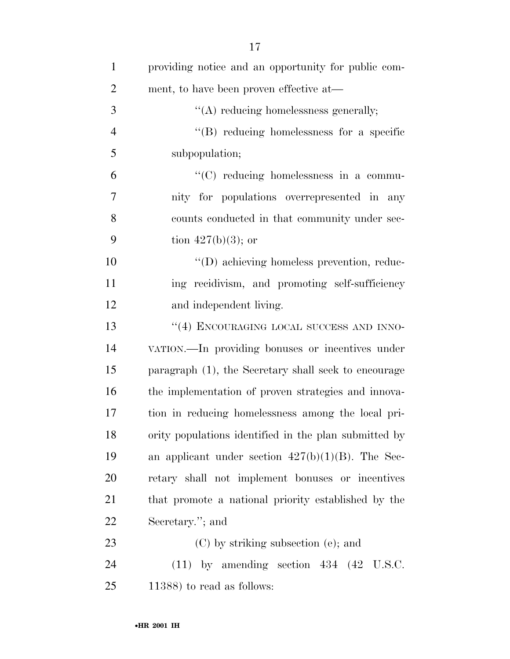| $\mathbf{1}$   | providing notice and an opportunity for public com-   |
|----------------|-------------------------------------------------------|
| $\overline{2}$ | ment, to have been proven effective at—               |
| 3              | $\lq\lq$ reducing homelessness generally;             |
| $\overline{4}$ | $\lq\lq(B)$ reducing homelessness for a specific      |
| 5              | subpopulation;                                        |
| 6              | $\lq\lq$ reducing homelessness in a commu-            |
| 7              | nity for populations overrepresented in any           |
| 8              | counts conducted in that community under sec-         |
| 9              | tion $427(b)(3)$ ; or                                 |
| 10             | $\lq\lq$ achieving homeless prevention, reduc-        |
| 11             | ing recidivism, and promoting self-sufficiency        |
| 12             | and independent living.                               |
| 13             | "(4) ENCOURAGING LOCAL SUCCESS AND INNO-              |
| 14             | VATION.—In providing bonuses or incentives under      |
| 15             | paragraph (1), the Secretary shall seek to encourage  |
| 16             | the implementation of proven strategies and innova-   |
| 17             | tion in reducing homelessness among the local pri-    |
| 18             | ority populations identified in the plan submitted by |
| 19             | an applicant under section $427(b)(1)(B)$ . The Sec-  |
| 20             | retary shall not implement bonuses or incentives      |
| 21             | that promote a national priority established by the   |
| 22             | Secretary."; and                                      |
| 23             | $(C)$ by striking subsection (e); and                 |
| 24             | $(11)$ by amending section 434 $(42 \text{ U.S.C.})$  |
| 25             | $(11388)$ to read as follows:                         |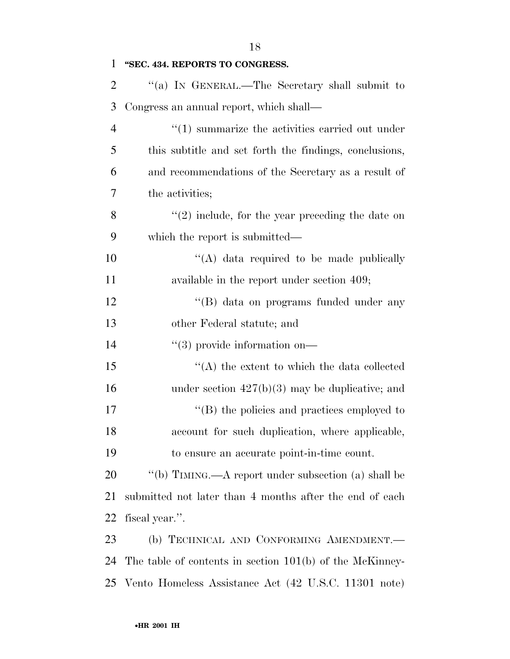| 1              | "SEC. 434. REPORTS TO CONGRESS.                            |
|----------------|------------------------------------------------------------|
| 2              | "(a) In GENERAL.—The Secretary shall submit to             |
| 3              | Congress an annual report, which shall—                    |
| $\overline{4}$ | $\cdot$ (1) summarize the activities carried out under     |
| 5              | this subtitle and set forth the findings, conclusions,     |
| 6              | and recommendations of the Secretary as a result of        |
| 7              | the activities;                                            |
| 8              | $\lq(2)$ include, for the year preceding the date on       |
| 9              | which the report is submitted—                             |
| 10             | "(A) data required to be made publically                   |
| 11             | available in the report under section 409;                 |
| 12             | "(B) data on programs funded under any                     |
| 13             | other Federal statute; and                                 |
| 14             | $\lq(3)$ provide information on—                           |
| 15             | $\lq\lq$ the extent to which the data collected            |
| 16             | under section $427(b)(3)$ may be duplicative; and          |
| 17             | $\lq\lq$ (B) the policies and practices employed to        |
| 18             | account for such duplication, where applicable,            |
| 19             | to ensure an accurate point-in-time count.                 |
| 20             | "(b) TIMING.—A report under subsection (a) shall be        |
| 21             | submitted not later than 4 months after the end of each    |
| 22             | fiscal year.".                                             |
| 23             | (b) TECHNICAL AND CONFORMING AMENDMENT.                    |
| 24             | The table of contents in section $101(b)$ of the McKinney- |
| 25             | Vento Homeless Assistance Act (42 U.S.C. 11301 note)       |